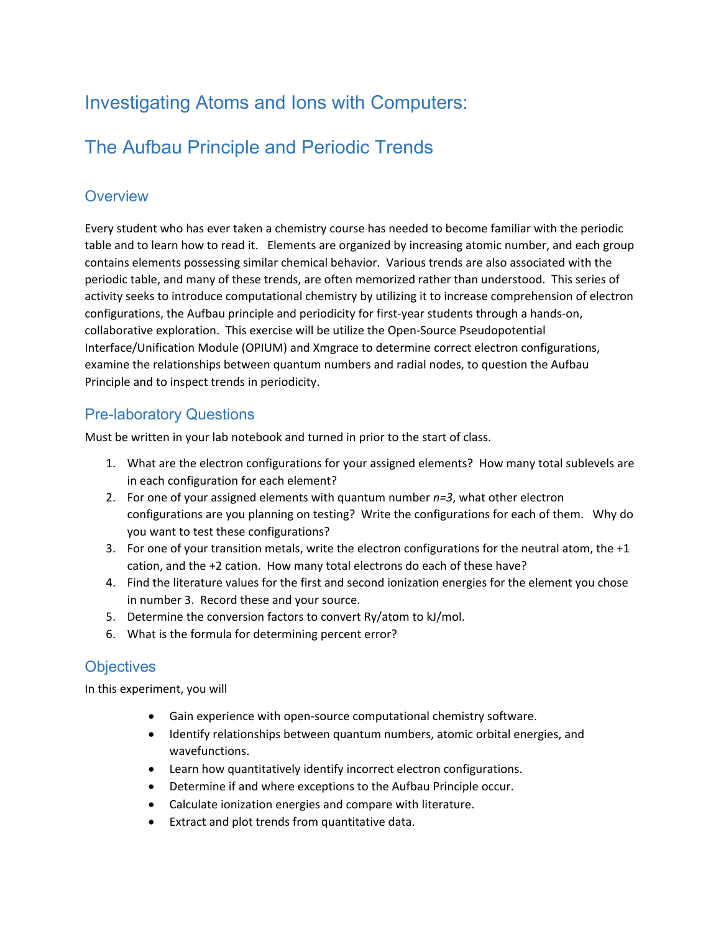# Investigating Atoms and Ions with Computers:

# The Aufbau Principle and Periodic Trends

## **Overview**

Every student who has ever taken a chemistry course has needed to become familiar with the periodic table and to learn how to read it. Elements are organized by increasing atomic number, and each group contains elements possessing similar chemical behavior. Various trends are also associated with the periodic table, and many of these trends, are often memorized rather than understood. This series of activity seeks to introduce computational chemistry by utilizing it to increase comprehension of electron configurations, the Aufbau principle and periodicity for first-year students through a hands-on, collaborative exploration. This exercise will be utilize the Open-Source Pseudopotential Interface/Unification Module (OPIUM) and Xmgrace to determine correct electron configurations, examine the relationships between quantum numbers and radial nodes, to question the Aufbau Principle and to inspect trends in periodicity.

## Pre-laboratory Questions

Must be written in your lab notebook and turned in prior to the start of class.

- 1. What are the electron configurations for your assigned elements? How many total sublevels are in each configuration for each element?
- 2. For one of your assigned elements with quantum number *n=3*, what other electron configurations are you planning on testing? Write the configurations for each of them. Why do you want to test these configurations?
- 3. For one of your transition metals, write the electron configurations for the neutral atom, the +1 cation, and the +2 cation. How many total electrons do each of these have?
- 4. Find the literature values for the first and second ionization energies for the element you chose in number 3. Record these and your source.
- 5. Determine the conversion factors to convert Ry/atom to kJ/mol.
- 6. What is the formula for determining percent error?

## **Objectives**

In this experiment, you will

- Gain experience with open-source computational chemistry software.
- Identify relationships between quantum numbers, atomic orbital energies, and wavefunctions.
- Learn how quantitatively identify incorrect electron configurations.
- Determine if and where exceptions to the Aufbau Principle occur.
- Calculate ionization energies and compare with literature.
- Extract and plot trends from quantitative data.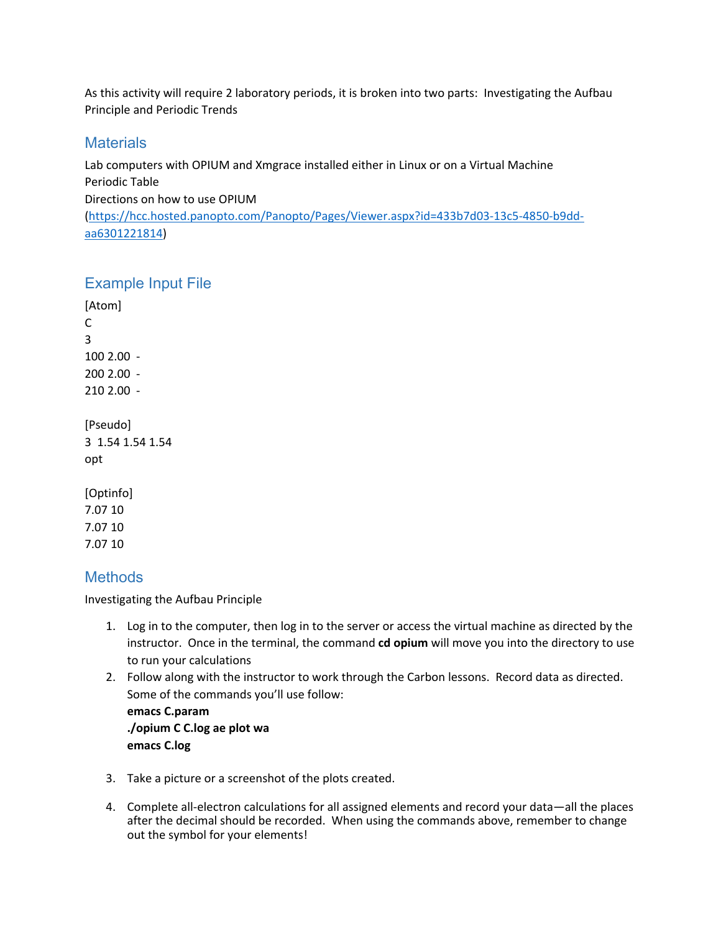As this activity will require 2 laboratory periods, it is broken into two parts: Investigating the Aufbau Principle and Periodic Trends

#### **Materials**

Lab computers with OPIUM and Xmgrace installed either in Linux or on a Virtual Machine Periodic Table Directions on how to use OPIUM [\(https://hcc.hosted.panopto.com/Panopto/Pages/Viewer.aspx?id=433b7d03-13c5-4850-b9dd-](https://hcc.hosted.panopto.com/Panopto/Pages/Viewer.aspx?id=433b7d03-13c5-4850-b9dd-aa6301221814)

[aa6301221814](https://hcc.hosted.panopto.com/Panopto/Pages/Viewer.aspx?id=433b7d03-13c5-4850-b9dd-aa6301221814))

#### Example Input File

[Atom] C 3 100 2.00 - 200 2.00 - 210 2.00 - [Pseudo] 3 1.54 1.54 1.54 opt

[Optinfo] 7.07 10 7.07 10 7.07 10

### **Methods**

Investigating the Aufbau Principle

- 1. Log in to the computer, then log in to the server or access the virtual machine as directed by the instructor. Once in the terminal, the command **cd opium** will move you into the directory to use to run your calculations
- 2. Follow along with the instructor to work through the Carbon lessons. Record data as directed. Some of the commands you'll use follow:

**emacs C.param ./opium C C.log ae plot wa emacs C.log**

- 3. Take a picture or a screenshot of the plots created.
- 4. Complete all-electron calculations for all assigned elements and record your data—all the places after the decimal should be recorded. When using the commands above, remember to change out the symbol for your elements!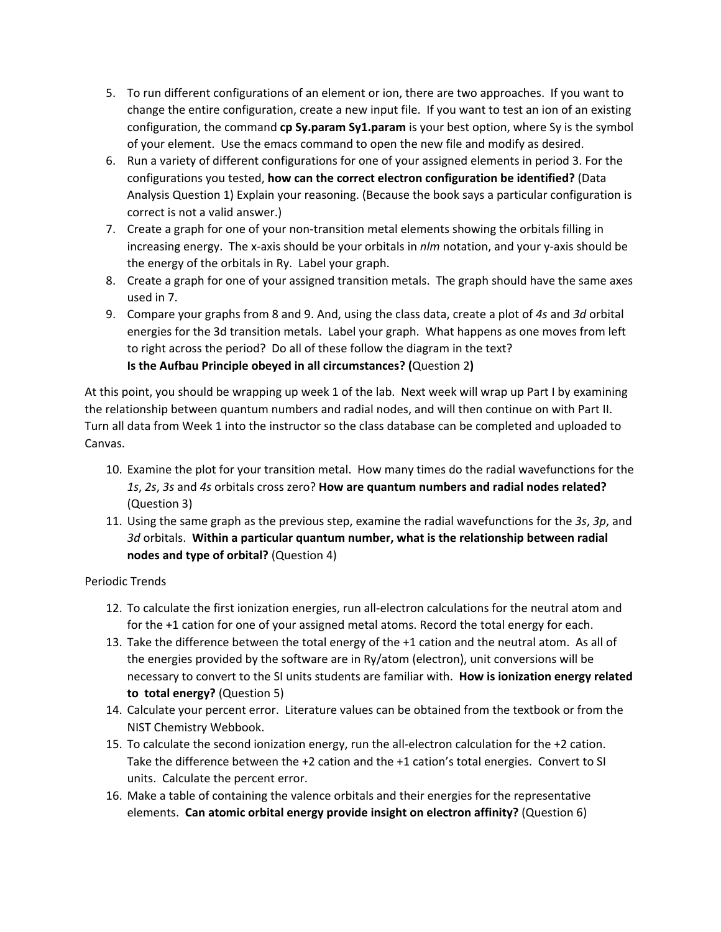- 5. To run different configurations of an element or ion, there are two approaches. If you want to change the entire configuration, create a new input file. If you want to test an ion of an existing configuration, the command **cp Sy.param Sy1.param** is your best option, where Sy is the symbol of your element. Use the emacs command to open the new file and modify as desired.
- 6. Run a variety of different configurations for one of your assigned elements in period 3. For the configurations you tested, **how can the correct electron configuration be identified?** (Data Analysis Question 1) Explain your reasoning. (Because the book says a particular configuration is correct is not a valid answer.)
- 7. Create a graph for one of your non-transition metal elements showing the orbitals filling in increasing energy. The x-axis should be your orbitals in *nlm* notation, and your y-axis should be the energy of the orbitals in Ry. Label your graph.
- 8. Create a graph for one of your assigned transition metals. The graph should have the same axes used in 7.
- 9. Compare your graphs from 8 and 9. And, using the class data, create a plot of *4s* and *3d* orbital energies for the 3d transition metals. Label your graph. What happens as one moves from left to right across the period? Do all of these follow the diagram in the text? **Is the Aufbau Principle obeyed in all circumstances? (**Question 2**)**

At this point, you should be wrapping up week 1 of the lab. Next week will wrap up Part I by examining the relationship between quantum numbers and radial nodes, and will then continue on with Part II. Turn all data from Week 1 into the instructor so the class database can be completed and uploaded to Canvas.

- 10. Examine the plot for your transition metal. How many times do the radial wavefunctions for the *1s*, *2s*, *3s* and *4s* orbitals cross zero? **How are quantum numbers and radial nodes related?**  (Question 3)
- 11. Using the same graph as the previous step, examine the radial wavefunctions for the *3s*, *3p*, and *3d* orbitals. **Within a particular quantum number, what is the relationship between radial nodes and type of orbital?** (Question 4)

Periodic Trends

- 12. To calculate the first ionization energies, run all-electron calculations for the neutral atom and for the +1 cation for one of your assigned metal atoms. Record the total energy for each.
- 13. Take the difference between the total energy of the +1 cation and the neutral atom. As all of the energies provided by the software are in Ry/atom (electron), unit conversions will be necessary to convert to the SI units students are familiar with. **How is ionization energy related to total energy?** (Question 5)
- 14. Calculate your percent error. Literature values can be obtained from the textbook or from the NIST Chemistry Webbook.
- 15. To calculate the second ionization energy, run the all-electron calculation for the +2 cation. Take the difference between the +2 cation and the +1 cation's total energies. Convert to SI units. Calculate the percent error.
- 16. Make a table of containing the valence orbitals and their energies for the representative elements. **Can atomic orbital energy provide insight on electron affinity?** (Question 6)